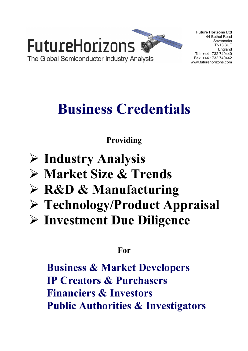

**Future Horizons Ltd**  44 Bethel Road Sevenoaks TN13 3UE England Tel: +44 1732 740440 Fax: +44 1732 740442 www.futurehorizons.com

# **Business Credentials**

# **Providing**

- ¾ **Industry Analysis**
- ¾ **Market Size & Trends**
- ¾ **R&D & Manufacturing**
- ¾ **Technology/Product Appraisal**
- ¾ **Investment Due Diligence**

# **For**

**Business & Market Developers IP Creators & Purchasers Financiers & Investors Public Authorities & Investigators**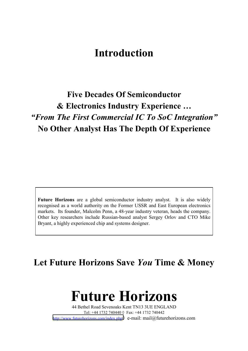# **Introduction**

# **Five Decades Of Semiconductor & Electronics Industry Experience …**  *"From The First Commercial IC To SoC Integration"*  **No Other Analyst Has The Depth Of Experience**

**Future Horizons** are a global semiconductor industry analyst. It is also widely recognised as a world authority on the Former USSR and East European electronics markets. Its founder, Malcolm Penn, a 48-year industry veteran, heads the company. Other key researchers include Russian-based analyst Sergey Orlov and CTO Mike Bryant, a highly experienced chip and systems designer.

### **Let Future Horizons Save** *You* **Time & Money**

# **Future Horizons**

44 Bethel Road Sevenoaks Kent TN13 3UE ENGLAND Tel: +44 1732 740440 ◊ Fax: +44 1732 740442 http://www.futurehorizons.com/index.php◊ e-mail: mail@futurehorizons.com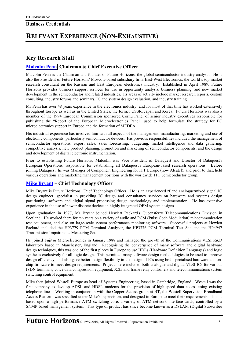### **RELEVANT EXPERIENCE (NON-EXHAUSTIVE)**

#### **Key Research Staff**

#### **Malcolm Penn, Chairman & Chief Executive Officer**

Malcolm Penn is the Chairman and founder of Future Horizons, the global semiconductor industry analysts. He is also the President of Future Horizons' Moscow-based subsidiary firm, East-West Electronics, the world's top market research consultant on the Russian and East European electronics industry. Established in April 1989, Future Horizons provides business support services for use in opportunity analysis, business planning, and new market development in the semiconductor and related industries. Its areas of activity include market research reports, custom consulting, industry forums and seminars, IC and system design evaluation, and industry training.

Mr Penn has over 48 years experience in the electronics industry, and for most of that time has worked extensively throughout Europe as well as in the United States, the former USSR, Japan and Korea. Future Horizons was also a member of the 1994 European Commission sponsored Cornu Panel of senior industry executives responsible for publishing the "Report of the European Microelectronics Panel" used to help formulate the strategy for EC microelectronics support in Europe and the formation of MEDEA.

His industrial experience has involved him with all aspects of the management, manufacturing, marketing and use of electronic components, particularly semiconductor devices. His previous responsibilities included the management of semiconductor operations, export sales, sales forecasting, budgeting, market intelligence and data gathering, competitive analysis, new product planning, promotion and marketing of semiconductor components, and the design and development of digital electronic instrumentation.

Prior to establishing Future Horizons, Malcolm was Vice President of Dataquest and Director of Dataquest's European Operations, responsible for establishing all Dataquest's European-based research operations. Before joining Dataquest, he was Manager of Component Engineering for ITT Europe (now Alcatel), and prior to that, held various operations and marketing management positions with the worldwide ITT Semiconductor group.

#### **Mike Bryant – Chief Technology Officer**

Mike Bryant is Future Horizons' Chief Technology Officer. He is an experienced rf and analogue/mixed signal IC design engineer, specialist in providing IC design and consultancy services on hardware and systems design partitioning, software and digital signal processing design methodology and implementation. He has extensive experience in the use of power discrete devices in highly integrated OEM system designs.

Upon graduation in 1977, Mr Bryant joined Hewlett Packard's Queensferry Telecommunications Division in Scotland. He worked there for ten years on a variety of audio and PCM (Pulse Code Modulation) telecommunication test equipment, and also on large-scale system performance monitoring software. Successful projects at Hewlett Packard included the HP3779 PCM Terminal Analyser, the HP3776 PCM Terminal Test Set, and the HP4947 Transmission Impairments Measuring Set.

He joined Fujitsu Microelectronics in January 1988 and managed the growth of the Communications VLSI R&D laboratory based in Manchester, England. Recognising the convergence of many software and digital hardware design techniques, this was one of the first places in Europe to use HDLs (Hardware Definition Languages) and logic synthesis exclusively for all logic design. This permitted many software design methodologies to be used to improve design efficiency, and also gave better design flexibility in the design of ICs using both specialised hardware and onchip firmware to meet design requirements. Projects here included both analogue and digital VLSI ICs for various ISDN terminals, voice data compression equipment, X.25 and frame relay controllers and telecommunications system switching control equipment.

Mike then joined Westell Europe as head of Systems Engineering, based in Cambridge, England. Westell was the first company to develop ADSL and HDSL modems for the provision of high-speed data access using existing telephone lines. Working in conjunction with the Copper Access group at BT, the Westell Supervision Broadband Access Platform was specified under Mike's supervision, and designed in Europe to meet their requirements. This is based upon a high performance ATM switching core, a variety of ATM network interface cards, controlled by a SNMP based management system. This type of product has since become known as a DSLAM (Digital Subscriber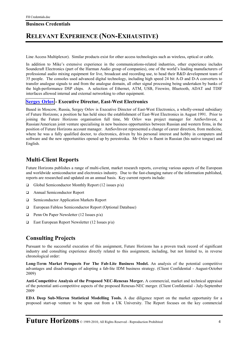### **RELEVANT EXPERIENCE (NON-EXHAUSTIVE)**

Line Access Multiplexor). Similar products exist for other access technologies such as wireless, optical or cable.

In addition to Mike's extensive experience in the communications-related industries, other experience includes Soundcraft Electronics (part of the Harman Audio group of companies), one of the world's leading manufacturers of professional audio mixing equipment for live, broadcast and recording use, to head their R&D development team of 35 people. The consoles used advanced digital technology, including high speed 24 bit A-D and D-A converters to transfer analogue signals to and from the analogue domain, all other signal processing being undertaken by banks of the high-performance DSP chips. A selection of Ethernet, ATM, USB, Firewire, Bluetooth, ADAT and TDIF interfaces allowed internal and external networking to other equipment.

#### **Sergey Orlov - Executive Director, East-West Electronics**

Based in Moscow, Russia, Sergey Orlov is Executive Director of East-West Electronics, a wholly-owned subsidiary of Future Horizons; a position he has held since the establishment of East-West Electronics in August 1991. Prior to joining the Future Horizons organisation full time, Mr Orlov was project manager for AmSovInvest, a Russian/American joint venture specialising in new business opportunities between Russian and western firms, in the position of Future Horizons account manager. AmSovInvest represented a change of career direction, from medicine, where he was a fully qualified doctor, to electronics, driven by his personal interest and hobby in computers and software and the new opportunities opened up by perestroika. Mr Orlov is fluent in Russian (his native tongue) and English.

#### **Multi-Client Reports**

Future Horizons publishes a range of multi-client, market research reports, covering various aspects of the European and worldwide semiconductor and electronics industry. Due to the fast-changing nature of the information published, reports are researched and updated on an annual basis. Key current reports include:

- Global Semiconductor Monthly Report (12 issues  $p/a$ )
- Annual Semiconductor Report
- □ Semiconductor Application Markets Report
- European Fabless Semiconductor Report (Optional Database)
- **Penn On Paper Newsletter (12 Issues p/a)**
- $\Box$  East European Report Newsletter (12 Issues  $p/a$ )

#### **Consulting Projects**

Pursuant to the successful execution of this assignment, Future Horizons has a proven track record of significant industry and consulting experience directly related to this assignment, including, but not limited to, in reverse chronological order:

**Long-Term Market Prospects For The Fab-Lite Business Model.** An analysis of the potential competitive advantages and disadvantages of adopting a fab-lite IDM business strategy. (Client Confidential - August-October 2009)

**Anti-Competitive Analysis of the Proposed NEC-Renesas Merger.** A commercial, market and technical appraisal of the potential anti-competitive aspects of the proposed Renesas-NEC merger. (Client Confidential - July-September 2009

**EDA Deep Sub-Micron Statistical Modelling Tools.** A due diligence report on the market opportunity for a proposed start-up venture to be spun out from a UK University. The Report focuses on the key commercial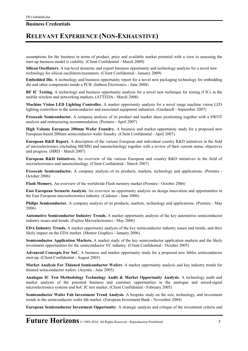### **RELEVANT EXPERIENCE (NON-EXHAUSTIVE)**

assumptions for the business in terms of product, price and available market potential with a view to assessing the start-up business model is viability. (Client Confidential - March 2009)

**Silicon Oscillators**. A top-level domestic and export business opportunity and technology analysis for a novel new technology for silicon oscillators/resonators. (Client Confidential - January 2009)

**Embedded Die.** A technology and business opportunity report for a novel new packaging technology for embedding die and other components inside a PCB. (Imbera Electronics - June 2008)

**RF IC Testing.** A technology and business opportunity analysis for a novel new technique for testing rf ICs in the mobile wireless and networking markets. (ATTEDA - March 2008)

**Machine Vision LED Lighting Controller.** A market opportunity analysis for a novel range machine vision LED lighting controllers in the semiconductor and associated equipment industries. (Gardasoft - September 2007)

**Freescale Semiconductor.** A company analysis of its product and market share positioning together with a SWOT analysis and restructuring recommendation. (Permira - April 2007)

**High Volume European 200mm Wafer Foundry.** A business and market opportunity study for a proposed new European-based 200mm semiconductor wafer foundry. (Client Confidential - April 2007)

**European R&D Report.** A description of the various European and individual country R&D initiatives in the field of microelectronics (including MEMS) and nanotechnology together with a review of their current status, objectives and progress. (SIRIJ - March 2007)

**European R&D Initiatives.** An overview of the various European and country R&D initiatives in the field of microelectronics and nanotechnology. (Client Confidential - March 2007)

**Freescale Semiconductor.** A company analysis of its products, markets, technology and applications. (Permira - October 2006)

**Flash Memory.** An overview of the worldwide Flash memory market (Permira - October 2006)

**East European Scenario Analysis.** An overview an opportunity analysis on design innovation and opportunities in the East European microelectronics industry. (Cadence - June 2006)

**Philips Semiconductor.** A company analysis of its products, markets, technology and applications. (Permira - May 2006)

**Automotive Semiconductor Industry Trends.** A market opportunity analysis of the key automotive semiconductor industry issues and trends. (Fujitsu Microelectronics - May 2006)

**EDA Industry Trends.** A market opportunity analysis of the key semiconductor industry issues and trends, and their likely impact on the EDA market. (Mentor Graphics - January 2006)

**Semiconductor Application Markets.** A market study of the key semiconductor application markets and the likely investment opportunities for the semiconductor VC industry. (Client Confidential - October 2005)

**Advanced Concepts For SoC.** A business and market opportunity study for a proposed new fables semiconductor start-up. (Client Confidential - August 2005)

**Market Analysis For Thinned Semiconductor Wafers**. A market opportunity analysis and key industry trends for thinned semiconductor wafers. (Asyntis - June 2005)

**Analogue IC Test Methodology Technology Audit & Market Opportunity Analysis**. A technology audit and market analysis of the potential business and customer opportunities in the analogue and mixed-signal microelectronics systems and SoC IC test market. (Client Confidential - February 2005)

**Semiconductor Wafer Fab Investment Trend Analysis**. A bespoke study on the size, technology, and investment trends in the semiconductor wafer fab market. (European Investment Bank - November 2004)

**European Semiconductor Investment Opportunity**. A strategic analysis and critique of the investment criteria and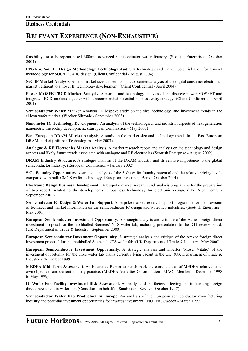### **RELEVANT EXPERIENCE (NON-EXHAUSTIVE)**

feasibility for a European-based 300mm advanced semiconductor wafer foundry. (Scottish Enterprise - October 2004)

**FPGA & SoC IC Design Methodology Technology Audit**. A technology and market potential audit for a novel methodology for SOC/FPGA IC design. (Client Confidential - August 2004)

**SoC IP Market Analysis**. An end market size and semiconductor content analysis of the digital consumer electronics market pertinent to a novel IP technology development. (Client Confidential - April 2004)

**Power MOSFET/BCD Market Analysis**. A market and technology analysis of the discrete power MOSFET and integrated BCD markets together with a recommended potential business entry strategy. (Client Confidential - April 2004)

**Semiconductor Wafer Market Analysis**. A bespoke study on the size, technology, and investment trends in the silicon wafer market. (Wacker Siltronic - September 2003)

**Nanometer IC Technology Development.** An analysis of the technological and industrial aspects of next generation nanometric microchip development. (European Commission - May 2003)

**East European DRAM Market Analysis.** A study on the market size and technology trends in the East European DRAM market (Infineon Technologies - May 2003)

**Analogue & RF Electronics Market Analysis.** A market research report and analysis on the technology and design aspects and likely future trends associated with analogue and RF electronics (Scottish Enterprise - August 2002)

**DRAM Industry Structure.** A strategic analysis of the DRAM industry and its relative importance to the global semiconductor industry. (European Commission - January 2002)

**SiGe Foundry Opportunity.** A strategic analysis of the SiGe wafer foundry potential and the relative pricing levels compared with bulk CMOS wafer technology. (European Investment Bank - October 2001)

**Electronic Design Business Development:** A bespoke market research and analysis programme for the preparation of two reports related to the developments in business technology for electronic design. (The Alba Centre - September 2001)

**Semiconductor IC Design & Wafer Fab Support.** A bespoke market research support programme for the provision of technical and market information on the semiconductor IC design and wafer fab industries. (Scottish Enterprise - May 2001)

**European Semiconductor Investment Opportunity**. A strategic analysis and critique of the Atmel foreign direct investment proposal for the mothballed Siemens' NTS wafer fab, including presentation to the DTI review board. (UK Department of Trade & Industry - September 2000)

**European Semiconductor Investment Opportunity**. A strategic analysis and critique of the Amkor foreign direct investment proposal for the mothballed Siemens' NTS wafer fab. (UK Department of Trade & Industry - May 2000)

**European Semiconductor Investment Opportunity**. A strategic analysis and investor (Mosel Vitalic) of the investment opportunity for the three wafer fab plants currently lying vacant in the UK. (UK Department of Trade & Industry - November 1999)

**MEDEA Mid-Term Assessment**. An Executive Report to bench-mark the current status of MEDEA relative to its own objectives and current industry practice. (MEDEA Activities Co-ordination - MAC - Members - December 1998 to May 1999)

**IC Wafer Fab Facility Investment Risk Assessment.** An analysis of the factors affecting and influencing foreign direct investment in wafer fab. (Consultus, on behalf of Sandvikem, Sweden- October 1997)

**Semiconductor Wafer Fab Production In Europe.** An analysis of the European semiconductor manufacturing industry and potential investment opportunities for inwards investment. (NUTEK, Sweden - March 1997)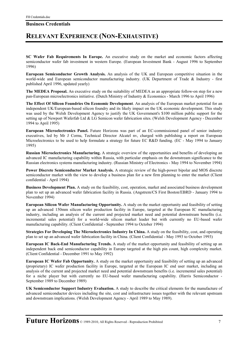### **RELEVANT EXPERIENCE (NON-EXHAUSTIVE)**

**SC Wafer Fab Requirements In Europe.** An executive study on the market and economic factors affecting semiconductor wafer fab investment in western Europe. (European Investment Bank - August 1996 to September 1996)

**European Semiconductor Growth Analysis.** An analysis of the UK and European competitive situation in the world-wide and European semiconductor manufacturing industry. (UK Department of Trade & Industry - first published April 1996, updated yearly)

**The MEDEA Proposal.** An executive study on the suitability of MEDEA as an appropriate follow-on step for a new pan-European microelectronics initiative. (Dutch Ministry of Industry & Economics - March 1996 to April 1996)

**The Effect Of Silicon Foundries On Economic Development**. An analysis of the European market potential for an independent UK/European-based silicon foundry and its likely impact on the UK economic development. This study was used by the Welsh Development Agency to justify the UK Government's \$100 million public support for the setting up of Newport Waferfab Ltd & LG Semicon wafer fabrication sites. (Welsh Development Agency - December 1994 to April 1995)

**European Microelectronics Panel.** Future Horizons was part of an EC-commissioned panel of senior industry executives, led by Mr J Cornu, Technical Director Alcatel nv, charged with publishing a report on European Microelectronics to be used to help formulate a strategy for future EC R&D funding. (EC - May 1994 to January 1995)

**Russian Microelectronics Manufacturing.** A strategic overview of the opportunities and benefits of developing an advanced IC manufacturing capability within Russia, with particular emphasis on the downstream significance to the Russian electronics systems manufacturing industry. (Russian Ministry of Electronics - May 1994 to November 1994)

**Power Discrete Semiconductor Market Analysis.** A strategic review of the high-power bipolar and MOS discrete semiconductor market with the view to develop a business plan for a new firm planning to enter the market (Client confidential - April 1994)

**Business Development Plan.** A study on the feasibility, cost, operation, market and associated business development plan to set up an advanced wafer fabrication facility in Russia. (Angstrem/CS First Boston/EBRD - January 1994 to November 1994)

**European Silicon Wafer Manufacturing Opportunity.** A study on the market opportunity and feasibility of setting up an advanced 150mm silicon wafer production facility in Europe, targeted at the European IC manufacturing industry, including an analysis of the current and projected market need and potential downstream benefits (i.e. incremental sales potential) for a world-wide silicon market leader but with currently no EU-based wafer manufacturing capability. (Client Confidential - September 1994 to October 1994)

**Strategies For Developing The Microelectronics Industry In China.** A study on the feasibility, cost, and operating plan to set up an advanced wafer fabrication facility in China. (Client Confidential - May 1993 to October 1993)

**European IC Back-End Manufacturing Trends.** A study of the market opportunity and feasibility of setting up an independent back end semiconductor capability in Europe targeted at the high pin count, high complexity market. (Client Confidential - December 1991 to May 1992)

**European IC Wafer Fab Opportunity.** A study on the market opportunity and feasibility of setting up an advanced (proprietary) IC wafer production facility in Europe, targeted at the European IC end user market, including an analysis of the current and projected market need and potential downstream benefits (i.e. incremental sales potential) for a niche player but with currently no EU-based wafer manufacturing capability. (Harris Semiconductor - September 1989 to December 1989)

**UK Semiconductor Support Industry Evaluation.** A study to describe the critical elements for the manufacture of advanced semiconductor devices including the site, cost and infrastructure issues together with the relevant upstream and downstream implications. (Welsh Development Agency - April 1989 to May 1989).